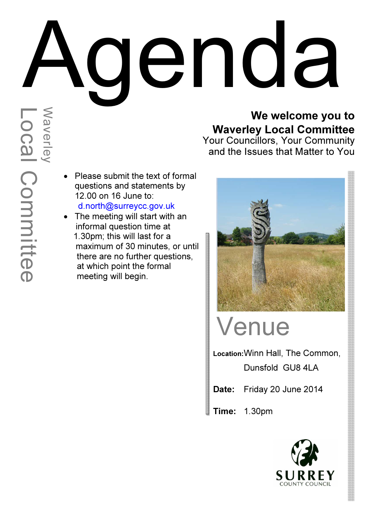# May are the meeting will start with an<br>
On the meeting will start with an<br>
The meeting will start with an<br>
The meeting will start with an<br>
The meeting will start with an<br>
All last formal questions and statements by<br>
a foot

### We welcome you to Waverley Local Committee

Your Councillors, Your Community and the Issues that Matter to You

- Please submit the text of formal questions and statements by 12.00 on 16 June to: d.north@surreycc.gov.uk
- The meeting will start with an informal question time at 1.30pm; this will last for a maximum of 30 minutes, or until there are no further questions, at which point the formal meeting will begin.



# Venue

Location: Winn Hall, The Common, Dunsfold GU8 4LA

Date: Friday 20 June 2014

Time: 1.30pm

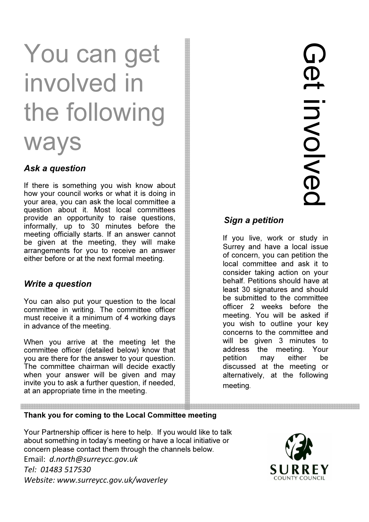# You can get involved in the following

## ways

### Ask a question

If there is something you wish know about how your council works or what it is doing in your area, you can ask the local committee a question about it. Most local committees provide an opportunity to raise questions, informally, up to 30 minutes before the meeting officially starts. If an answer cannot be given at the meeting, they will make arrangements for you to receive an answer either before or at the next formal meeting.

### Write a question

You can also put your question to the local committee in writing. The committee officer must receive it a minimum of 4 working days in advance of the meeting.

When you arrive at the meeting let the committee officer (detailed below) know that you are there for the answer to your question. The committee chairman will decide exactly when your answer will be given and may invite you to ask a further question, if needed, at an appropriate time in the meeting.

### Sign a petition

If you live, work or study in Surrey and have a local issue of concern, you can petition the local committee and ask it to consider taking action on your behalf. Petitions should have at least 30 signatures and should be submitted to the committee officer 2 weeks before the meeting. You will be asked if you wish to outline your key concerns to the committee and will be given 3 minutes to address the meeting. Your petition may either be discussed at the meeting or alternatively, at the following meeting.

### Thank you for coming to the Local Committee meeting

Your Partnership officer is here to help. If you would like to talk about something in today's meeting or have a local initiative or concern please contact them through the channels below. Email: d.north@surreycc.gov.uk Tel: 01483 517530 Website: www.surreycc.gov.uk/waverley

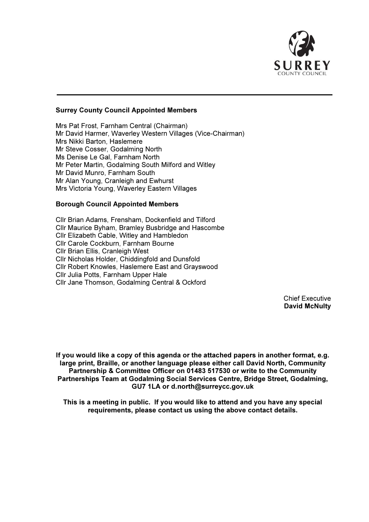

### Surrey County Council Appointed Members

Mrs Pat Frost, Farnham Central (Chairman) Mr David Harmer, Waverley Western Villages (Vice-Chairman) Mrs Nikki Barton, Haslemere Mr Steve Cosser, Godalming North Ms Denise Le Gal, Farnham North Mr Peter Martin, Godalming South Milford and Witley Mr David Munro, Farnham South Mr Alan Young, Cranleigh and Ewhurst Mrs Victoria Young, Waverley Eastern Villages

### Borough Council Appointed Members

Cllr Brian Adams, Frensham, Dockenfield and Tilford Cllr Maurice Byham, Bramley Busbridge and Hascombe Cllr Elizabeth Cable, Witley and Hambledon Cllr Carole Cockburn, Farnham Bourne Cllr Brian Ellis, Cranleigh West Cllr Nicholas Holder, Chiddingfold and Dunsfold Cllr Robert Knowles, Haslemere East and Grayswood Cllr Julia Potts, Farnham Upper Hale Cllr Jane Thomson, Godalming Central & Ockford

> Chief Executive David McNulty

If you would like a copy of this agenda or the attached papers in another format, e.g. large print, Braille, or another language please either call David North, Community Partnership & Committee Officer on 01483 517530 or write to the Community Partnerships Team at Godalming Social Services Centre, Bridge Street, Godalming, GU7 1LA or d.north@surreycc.gov.uk

This is a meeting in public. If you would like to attend and you have any special requirements, please contact us using the above contact details.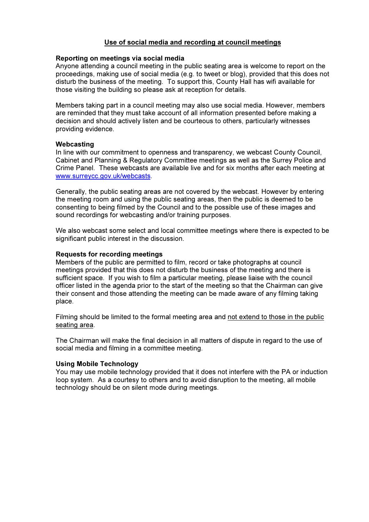### Use of social media and recording at council meetings

### Reporting on meetings via social media

Anyone attending a council meeting in the public seating area is welcome to report on the proceedings, making use of social media (e.g. to tweet or blog), provided that this does not disturb the business of the meeting. To support this, County Hall has wifi available for those visiting the building so please ask at reception for details.

Members taking part in a council meeting may also use social media. However, members are reminded that they must take account of all information presented before making a decision and should actively listen and be courteous to others, particularly witnesses providing evidence.

### Webcasting

In line with our commitment to openness and transparency, we webcast County Council, Cabinet and Planning & Regulatory Committee meetings as well as the Surrey Police and Crime Panel. These webcasts are available live and for six months after each meeting at www.surreycc.gov.uk/webcasts.

Generally, the public seating areas are not covered by the webcast. However by entering the meeting room and using the public seating areas, then the public is deemed to be consenting to being filmed by the Council and to the possible use of these images and sound recordings for webcasting and/or training purposes.

We also webcast some select and local committee meetings where there is expected to be significant public interest in the discussion.

### Requests for recording meetings

Members of the public are permitted to film, record or take photographs at council meetings provided that this does not disturb the business of the meeting and there is sufficient space. If you wish to film a particular meeting, please liaise with the council officer listed in the agenda prior to the start of the meeting so that the Chairman can give their consent and those attending the meeting can be made aware of any filming taking place.

Filming should be limited to the formal meeting area and not extend to those in the public seating area.

The Chairman will make the final decision in all matters of dispute in regard to the use of social media and filming in a committee meeting.

### Using Mobile Technology

You may use mobile technology provided that it does not interfere with the PA or induction loop system. As a courtesy to others and to avoid disruption to the meeting, all mobile technology should be on silent mode during meetings.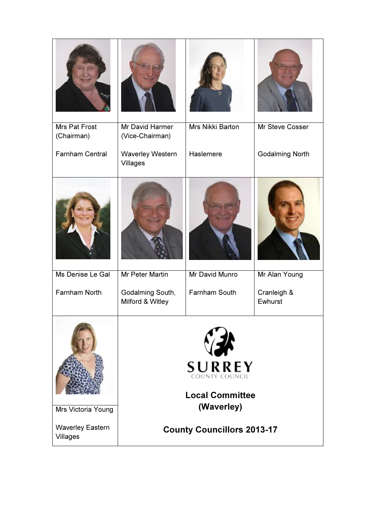| Mrs Pat Frost<br>(Chairman)         | <b>Mr David Harmer</b><br>(Vice-Chairman)                 | Mrs Nikki Barton | Mr Steve Cosser        |  |
|-------------------------------------|-----------------------------------------------------------|------------------|------------------------|--|
| <b>Farnham Central</b>              | <b>Waverley Western</b><br>Villages                       | Haslemere        | <b>Godalming North</b> |  |
|                                     |                                                           |                  |                        |  |
| Ms Denise Le Gal                    | Mr Peter Martin                                           | Mr David Munro   | Mr Alan Young          |  |
| Farnham North                       | Godalming South,<br>Milford & Witley                      | Farnham South    | Cranleigh &<br>Ewhurst |  |
|                                     | <b>SURREY</b><br>COUNTY COUNCIL<br><b>Local Committee</b> |                  |                        |  |
| Mrs Victoria Young                  | (Waverley)                                                |                  |                        |  |
| <b>Waverley Eastern</b><br>Villages | <b>County Councillors 2013-17</b>                         |                  |                        |  |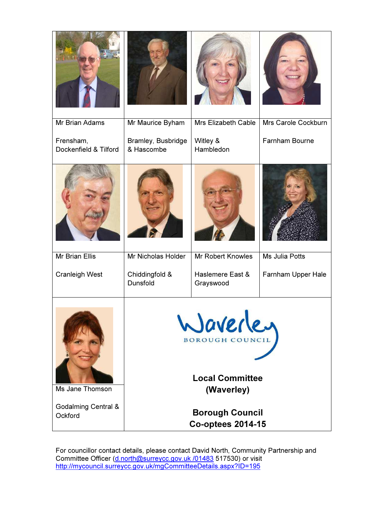| Mr Brian Adams                            | Mr Maurice Byham                                                           | <b>Mrs Elizabeth Cable</b>    | Mrs Carole Cockburn   |  |
|-------------------------------------------|----------------------------------------------------------------------------|-------------------------------|-----------------------|--|
| Frensham,<br>Dockenfield & Tilford        | Bramley, Busbridge<br>& Hascombe                                           | Witley &<br>Hambledon         | Farnham Bourne        |  |
|                                           |                                                                            |                               |                       |  |
| <b>Mr Brian Ellis</b>                     | Mr Nicholas Holder                                                         | <b>Mr Robert Knowles</b>      | <b>Ms Julia Potts</b> |  |
| <b>Cranleigh West</b>                     | Chiddingfold &<br>Dunsfold                                                 | Haslemere East &<br>Grayswood | Farnham Upper Hale    |  |
| Ms Jane Thomson                           | Waverler<br><b>BOROUGH COUNCIL</b><br><b>Local Committee</b><br>(Waverley) |                               |                       |  |
| <b>Godalming Central &amp;</b><br>Ockford | <b>Borough Council</b><br><b>Co-optees 2014-15</b>                         |                               |                       |  |

For councillor contact details, please contact David North, Community Partnership and Committee Officer (d.north@surreycc.gov.uk /01483 517530) or visit http://mycouncil.surreycc.gov.uk/mgCommitteeDetails.aspx?ID=195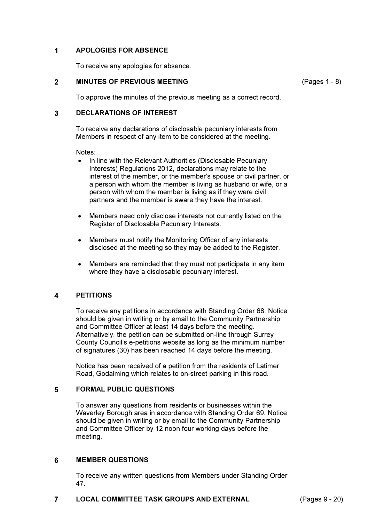### 1 APOLOGIES FOR ABSENCE

To receive any apologies for absence.

### 2 MINUTES OF PREVIOUS MEETING

(Pages 1 - 8)

To approve the minutes of the previous meeting as a correct record.

### 3 DECLARATIONS OF INTEREST

To receive any declarations of disclosable pecuniary interests from Members in respect of any item to be considered at the meeting.

### Notes:

- In line with the Relevant Authorities (Disclosable Pecuniary Interests) Regulations 2012, declarations may relate to the interest of the member, or the member's spouse or civil partner, or a person with whom the member is living as husband or wife, or a person with whom the member is living as if they were civil partners and the member is aware they have the interest.
- Members need only disclose interests not currently listed on the Register of Disclosable Pecuniary Interests.
- Members must notify the Monitoring Officer of any interests disclosed at the meeting so they may be added to the Register.
- Members are reminded that they must not participate in any item where they have a disclosable pecuniary interest.

### 4 PETITIONS

To receive any petitions in accordance with Standing Order 68. Notice should be given in writing or by email to the Community Partnership and Committee Officer at least 14 days before the meeting. Alternatively, the petition can be submitted on-line through Surrey County Council's e-petitions website as long as the minimum number of signatures (30) has been reached 14 days before the meeting.

Notice has been received of a petition from the residents of Latimer Road, Godalming which relates to on-street parking in this road.

### 5 FORMAL PUBLIC QUESTIONS

To answer any questions from residents or businesses within the Waverley Borough area in accordance with Standing Order 69. Notice should be given in writing or by email to the Community Partnership and Committee Officer by 12 noon four working days before the meeting.

### 6 MEMBER QUESTIONS

To receive any written questions from Members under Standing Order 47.

### 7 LOCAL COMMITTEE TASK GROUPS AND EXTERNAL (Pages 9 - 20)